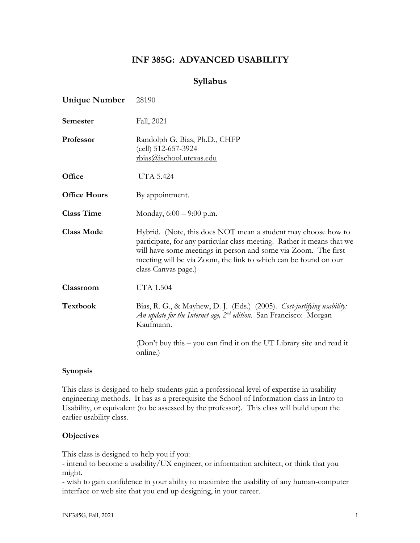# **INF 385G: ADVANCED USABILITY**

## **Syllabus**

| <b>Unique Number</b> | 28190                                                                                                                                                                                                                                                                                               |  |
|----------------------|-----------------------------------------------------------------------------------------------------------------------------------------------------------------------------------------------------------------------------------------------------------------------------------------------------|--|
| Semester             | Fall, 2021                                                                                                                                                                                                                                                                                          |  |
| Professor            | Randolph G. Bias, Ph.D., CHFP<br>(cell) 512-657-3924<br>rbias@ischool.utexas.edu                                                                                                                                                                                                                    |  |
| Office               | <b>UTA 5.424</b>                                                                                                                                                                                                                                                                                    |  |
| <b>Office Hours</b>  | By appointment.                                                                                                                                                                                                                                                                                     |  |
| <b>Class Time</b>    | Monday, $6:00 - 9:00$ p.m.                                                                                                                                                                                                                                                                          |  |
| <b>Class Mode</b>    | Hybrid. (Note, this does NOT mean a student may choose how to<br>participate, for any particular class meeting. Rather it means that we<br>will have some meetings in person and some via Zoom. The first<br>meeting will be via Zoom, the link to which can be found on our<br>class Canvas page.) |  |
| Classroom            | <b>UTA 1.504</b>                                                                                                                                                                                                                                                                                    |  |
| <b>Textbook</b>      | Bias, R. G., & Mayhew, D. J. (Eds.) (2005). Cost-justifying usability:<br><i>An update for the Internet age, <math>2^{nd}</math> edition.</i> San Francisco: Morgan<br>Kaufmann.                                                                                                                    |  |
|                      | (Don't buy this – you can find it on the UT Library site and read it<br>online.)                                                                                                                                                                                                                    |  |

#### **Synopsis**

This class is designed to help students gain a professional level of expertise in usability engineering methods. It has as a prerequisite the School of Information class in Intro to Usability, or equivalent (to be assessed by the professor). This class will build upon the earlier usability class.

#### **Objectives**

This class is designed to help you if you:

- intend to become a usability/UX engineer, or information architect, or think that you might.

- wish to gain confidence in your ability to maximize the usability of any human-computer interface or web site that you end up designing, in your career.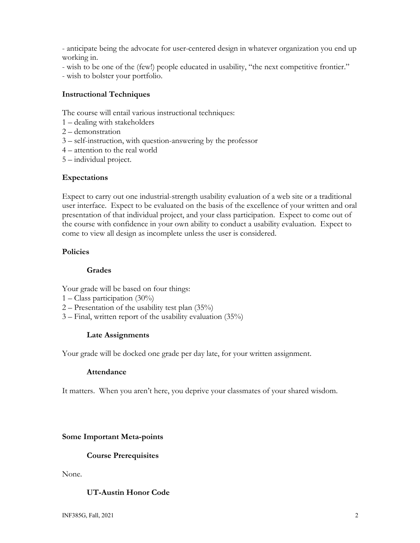- anticipate being the advocate for user-centered design in whatever organization you end up working in.

- wish to be one of the (few!) people educated in usability, "the next competitive frontier."

- wish to bolster your portfolio.

## **Instructional Techniques**

The course will entail various instructional techniques:

- 1 dealing with stakeholders
- 2 demonstration
- 3 self-instruction, with question-answering by the professor
- 4 attention to the real world
- 5 individual project.

#### **Expectations**

Expect to carry out one industrial-strength usability evaluation of a web site or a traditional user interface. Expect to be evaluated on the basis of the excellence of your written and oral presentation of that individual project, and your class participation. Expect to come out of the course with confidence in your own ability to conduct a usability evaluation. Expect to come to view all design as incomplete unless the user is considered.

#### **Policies**

#### **Grades**

Your grade will be based on four things:

- 1 Class participation (30%)
- 2 Presentation of the usability test plan  $(35\%)$
- 3 Final, written report of the usability evaluation (35%)

## **Late Assignments**

Your grade will be docked one grade per day late, for your written assignment.

#### **Attendance**

It matters. When you aren't here, you deprive your classmates of your shared wisdom.

## **Some Important Meta-points**

#### **Course Prerequisites**

None.

## **UT-Austin Honor Code**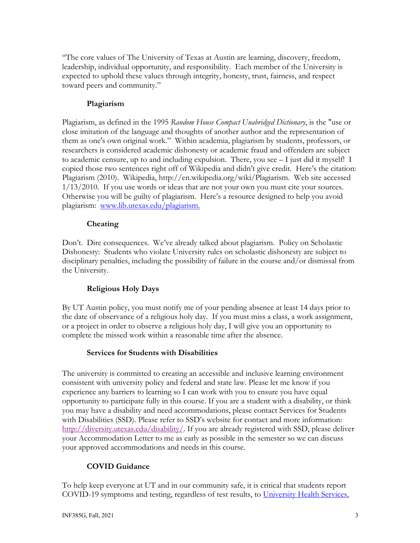"The core values of The University of Texas at Austin are learning, discovery, freedom, leadership, individual opportunity, and responsibility. Each member of the University is expected to uphold these values through integrity, honesty, trust, fairness, and respect toward peers and community."

## **Plagiarism**

Plagiarism, as defined in the 1995 *Random House Compact Unabridged Dictionary*, is the "use or close imitation of the language and thoughts of another author and the representation of them as one's own original work." Within academia, plagiarism by students, professors, or researchers is considered academic dishonesty or academic fraud and offenders are subject to academic censure, up to and including expulsion. There, you see – I just did it myself! I copied those two sentences right off of Wikipedia and didn't give credit. Here's the citation: Plagiarism (2010). Wikipedia, http://en.wikipedia.org/wiki/Plagiarism. Web site accessed 1/13/2010. If you use words or ideas that are not your own you must cite your sources. Otherwise you will be guilty of plagiarism. Here's a resource designed to help you avoid plagiarism: www.lib.utexas.edu/plagiarism.

#### **Cheating**

Don't. Dire consequences. We've already talked about plagiarism. Policy on Scholastic Dishonesty: Students who violate University rules on scholastic dishonesty are subject to disciplinary penalties, including the possibility of failure in the course and/or dismissal from the University.

## **Religious Holy Days**

By UT Austin policy, you must notify me of your pending absence at least 14 days prior to the date of observance of a religious holy day. If you must miss a class, a work assignment, or a project in order to observe a religious holy day, I will give you an opportunity to complete the missed work within a reasonable time after the absence.

#### **Services for Students with Disabilities**

The university is committed to creating an accessible and inclusive learning environment consistent with university policy and federal and state law. Please let me know if you experience any barriers to learning so I can work with you to ensure you have equal opportunity to participate fully in this course. If you are a student with a disability, or think you may have a disability and need accommodations, please contact Services for Students with Disabilities (SSD). Please refer to SSD's website for contact and more information: http://diversity.utexas.edu/disability/. If you are already registered with SSD, please deliver your Accommodation Letter to me as early as possible in the semester so we can discuss your approved accommodations and needs in this course.

## **COVID Guidance**

To help keep everyone at UT and in our community safe, it is critical that students report COVID-19 symptoms and testing, regardless of test results, to University Health Services,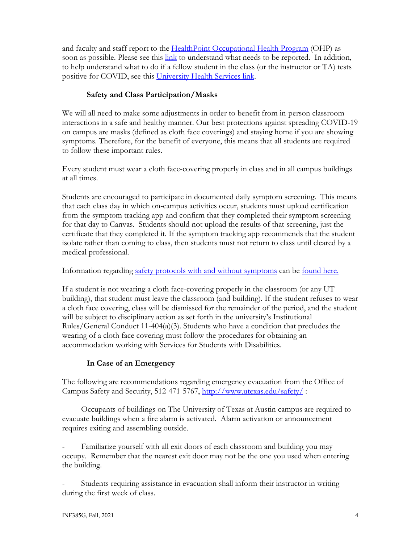and faculty and staff report to the HealthPoint Occupational Health Program (OHP) as soon as possible. Please see this link to understand what needs to be reported. In addition, to help understand what to do if a fellow student in the class (or the instructor or TA) tests positive for COVID, see this University Health Services link.

## **Safety and Class Participation/Masks**

We will all need to make some adjustments in order to benefit from in-person classroom interactions in a safe and healthy manner. Our best protections against spreading COVID-19 on campus are masks (defined as cloth face coverings) and staying home if you are showing symptoms. Therefore, for the benefit of everyone, this means that all students are required to follow these important rules.

Every student must wear a cloth face-covering properly in class and in all campus buildings at all times.

Students are encouraged to participate in documented daily symptom screening. This means that each class day in which on-campus activities occur, students must upload certification from the symptom tracking app and confirm that they completed their symptom screening for that day to Canvas. Students should not upload the results of that screening, just the certificate that they completed it. If the symptom tracking app recommends that the student isolate rather than coming to class, then students must not return to class until cleared by a medical professional.

Information regarding safety protocols with and without symptoms can be found here.

If a student is not wearing a cloth face-covering properly in the classroom (or any UT building), that student must leave the classroom (and building). If the student refuses to wear a cloth face covering, class will be dismissed for the remainder of the period, and the student will be subject to disciplinary action as set forth in the university's Institutional Rules/General Conduct 11-404(a)(3). Students who have a condition that precludes the wearing of a cloth face covering must follow the procedures for obtaining an accommodation working with Services for Students with Disabilities.

## **In Case of an Emergency**

The following are recommendations regarding emergency evacuation from the Office of Campus Safety and Security, 512-471-5767, http://www.utexas.edu/safety/ :

- Occupants of buildings on The University of Texas at Austin campus are required to evacuate buildings when a fire alarm is activated. Alarm activation or announcement requires exiting and assembling outside.

Familiarize yourself with all exit doors of each classroom and building you may occupy. Remember that the nearest exit door may not be the one you used when entering the building.

- Students requiring assistance in evacuation shall inform their instructor in writing during the first week of class.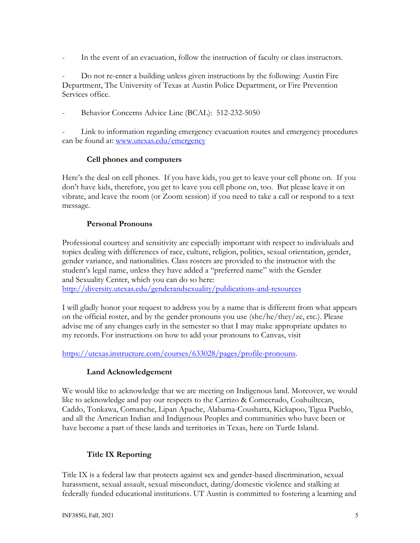In the event of an evacuation, follow the instruction of faculty or class instructors.

- Do not re-enter a building unless given instructions by the following: Austin Fire Department, The University of Texas at Austin Police Department, or Fire Prevention Services office.

Behavior Concerns Advice Line (BCAL): 512-232-5050

Link to information regarding emergency evacuation routes and emergency procedures can be found at: www.utexas.edu/emergency

## **Cell phones and computers**

Here's the deal on cell phones. If you have kids, you get to leave your cell phone on. If you don't have kids, therefore, you get to leave you cell phone on, too. But please leave it on vibrate, and leave the room (or Zoom session) if you need to take a call or respond to a text message.

#### **Personal Pronouns**

Professional courtesy and sensitivity are especially important with respect to individuals and topics dealing with differences of race, culture, religion, politics, sexual orientation, gender, gender variance, and nationalities. Class rosters are provided to the instructor with the student's legal name, unless they have added a "preferred name" with the Gender and Sexuality Center, which you can do so here:

http://diversity.utexas.edu/genderandsexuality/publications-and-resources

I will gladly honor your request to address you by a name that is different from what appears on the official roster, and by the gender pronouns you use (she/he/they/ze, etc.). Please advise me of any changes early in the semester so that I may make appropriate updates to my records. For instructions on how to add your pronouns to Canvas, visit

https://utexas.instructure.com/courses/633028/pages/profile-pronouns.

## **Land Acknowledgement**

We would like to acknowledge that we are meeting on Indigenous land. Moreover, we would like to acknowledge and pay our respects to the Carrizo & Comecrudo, Coahuiltecan, Caddo, Tonkawa, Comanche, Lipan Apache, Alabama-Coushatta, Kickapoo, Tigua Pueblo, and all the American Indian and Indigenous Peoples and communities who have been or have become a part of these lands and territories in Texas, here on Turtle Island.

## **Title IX Reporting**

Title IX is a federal law that protects against sex and gender-based discrimination, sexual harassment, sexual assault, sexual misconduct, dating/domestic violence and stalking at federally funded educational institutions. UT Austin is committed to fostering a learning and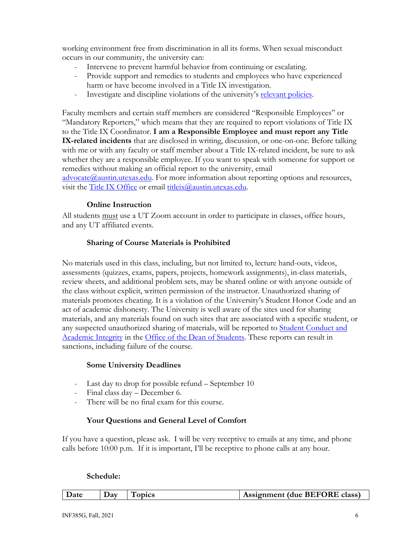working environment free from discrimination in all its forms. When sexual misconduct occurs in our community, the university can:

- Intervene to prevent harmful behavior from continuing or escalating.
- Provide support and remedies to students and employees who have experienced harm or have become involved in a Title IX investigation.
- Investigate and discipline violations of the university's relevant policies.

Faculty members and certain staff members are considered "Responsible Employees" or "Mandatory Reporters," which means that they are required to report violations of Title IX to the Title IX Coordinator. **I am a Responsible Employee and must report any Title IX-related incidents** that are disclosed in writing, discussion, or one-on-one. Before talking with me or with any faculty or staff member about a Title IX-related incident, be sure to ask whether they are a responsible employee. If you want to speak with someone for support or remedies without making an official report to the university, email

 $advocate@austin.utexas.edu.$  For more information about reporting options and resources, visit the Title IX Office or email titleix@austin.utexas.edu.

#### **Online Instruction**

All students must use a UT Zoom account in order to participate in classes, office hours, and any UT affiliated events.

#### **Sharing of Course Materials is Prohibited**

No materials used in this class, including, but not limited to, lecture hand-outs, videos, assessments (quizzes, exams, papers, projects, homework assignments), in-class materials, review sheets, and additional problem sets, may be shared online or with anyone outside of the class without explicit, written permission of the instructor. Unauthorized sharing of materials promotes cheating. It is a violation of the University's Student Honor Code and an act of academic dishonesty. The University is well aware of the sites used for sharing materials, and any materials found on such sites that are associated with a specific student, or any suspected unauthorized sharing of materials, will be reported to **Student Conduct and** Academic Integrity in the Office of the Dean of Students. These reports can result in sanctions, including failure of the course.

#### **Some University Deadlines**

- Last day to drop for possible refund September 10
- Final class day December 6.
- There will be no final exam for this course.

## **Your Questions and General Level of Comfort**

If you have a question, please ask. I will be very receptive to emails at any time, and phone calls before 10:00 p.m. If it is important, I'll be receptive to phone calls at any hour.

#### **Schedule:**

| <b>Date</b><br><b>ODICS</b><br>Jav | Assignment (due BEFORE class) |
|------------------------------------|-------------------------------|
|------------------------------------|-------------------------------|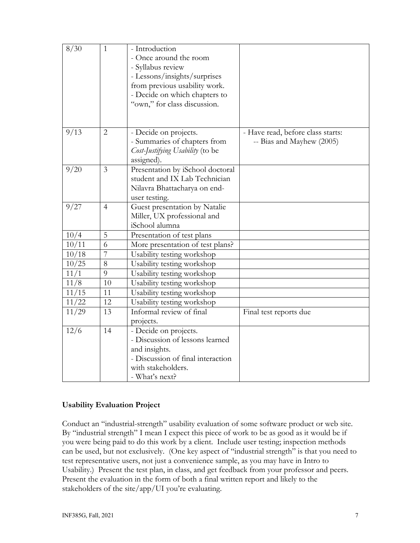| 8/30  | $\mathbf{1}$   | - Introduction                    |                                   |
|-------|----------------|-----------------------------------|-----------------------------------|
|       |                | - Once around the room            |                                   |
|       |                | - Syllabus review                 |                                   |
|       |                | - Lessons/insights/surprises      |                                   |
|       |                | from previous usability work.     |                                   |
|       |                | - Decide on which chapters to     |                                   |
|       |                | "own," for class discussion.      |                                   |
|       |                |                                   |                                   |
|       |                |                                   |                                   |
| 9/13  | $\overline{2}$ | - Decide on projects.             | - Have read, before class starts: |
|       |                | - Summaries of chapters from      | -- Bias and Mayhew (2005)         |
|       |                | Cost-Justifying Usability (to be  |                                   |
|       |                | assigned).                        |                                   |
| 9/20  | $\overline{3}$ | Presentation by iSchool doctoral  |                                   |
|       |                | student and IX Lab Technician     |                                   |
|       |                | Nilavra Bhattacharya on end-      |                                   |
|       |                | user testing.                     |                                   |
| 9/27  | $\overline{4}$ | Guest presentation by Natalie     |                                   |
|       |                | Miller, UX professional and       |                                   |
|       |                | iSchool alumna                    |                                   |
| 10/4  | 5              | Presentation of test plans        |                                   |
| 10/11 | 6              | More presentation of test plans?  |                                   |
| 10/18 | $\overline{7}$ | Usability testing workshop        |                                   |
| 10/25 | 8              | Usability testing workshop        |                                   |
| 11/1  | 9              | Usability testing workshop        |                                   |
| 11/8  | 10             | Usability testing workshop        |                                   |
| 11/15 | 11             | Usability testing workshop        |                                   |
| 11/22 | 12             | Usability testing workshop        |                                   |
| 11/29 | 13             | Informal review of final          | Final test reports due            |
|       |                | projects.                         |                                   |
| 12/6  | 14             | - Decide on projects.             |                                   |
|       |                | - Discussion of lessons learned   |                                   |
|       |                | and insights.                     |                                   |
|       |                | - Discussion of final interaction |                                   |
|       |                | with stakeholders.                |                                   |
|       |                | - What's next?                    |                                   |

## **Usability Evaluation Project**

Conduct an "industrial-strength" usability evaluation of some software product or web site. By "industrial strength" I mean I expect this piece of work to be as good as it would be if you were being paid to do this work by a client. Include user testing; inspection methods can be used, but not exclusively. (One key aspect of "industrial strength" is that you need to test representative users, not just a convenience sample, as you may have in Intro to Usability.) Present the test plan, in class, and get feedback from your professor and peers. Present the evaluation in the form of both a final written report and likely to the stakeholders of the site/app/UI you're evaluating.